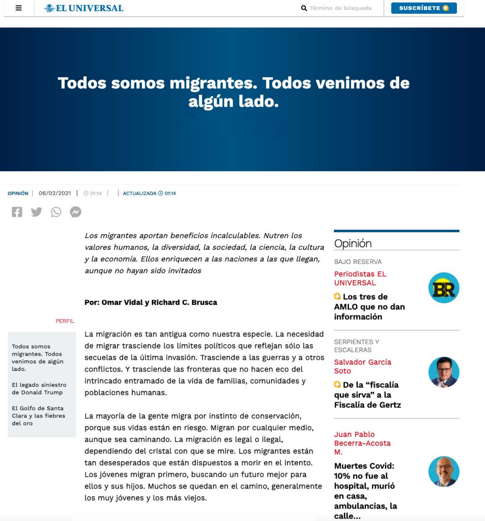# **Todos somos migrantes. Todos venimos de** algún lado.



Los migrantes aportan beneficios incalculables. Nutren los valores humanos, la diversidad, la sociedad, la ciencia, la cultura y la economía. Ellos enriquecen a las naciones a las que llegan, aunque no hayan sido invitados

#### Por: Omar Vidal y Richard C. Brusca

#### **PERFIL**

Todos somos migrantes. Todos venimos de algún lado.

La migración es tan antigua como nuestra especie. La necesidad de migrar trasciende los límites políticos que reflejan sólo las secuelas de la última invasión. Trasciende a las guerras y a otros conflictos. Y trasciende las fronteras que no hacen eco del

# Opinión

**BAJO RESERVA** 

**Periodistas EL UNIVERSAL** 



**Q** Los tres de AMLO que no dan información

**SERPIENTES Y ESCALERAS** 

Salvador García Soto



El legado siniestro de Donald Trump

El Golfo de Santa Clara y las fiebres del oro

intrincado entramado de la vida de familias, comunidades y poblaciones humanas.

La mayoría de la gente migra por instinto de conservación, porque sus vidas están en riesgo. Migran por cualquier medio, aunque sea caminando. La migración es legal o ilegal, dependiendo del cristal con que se mire. Los migrantes están tan desesperados que están dispuestos a morir en el intento. Los jóvenes migran primero, buscando un futuro mejor para ellos y sus hijos. Muchos se quedan en el camino, generalmente los muy jóvenes y los más viejos.

que sirva" a la **Fiscalía de Gertz** 

O De la "fiscalía

Juan Pablo Becerra-Acosta М.

**Muertes Covid:** 10% no fue al hospital, murió en casa, ambulancias, la calle...

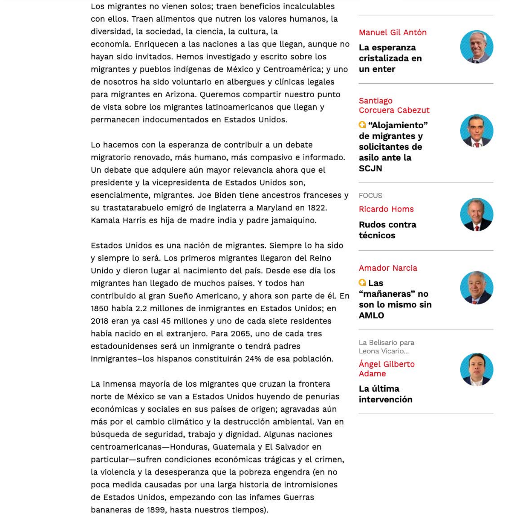Los migrantes no vienen solos; traen beneficios incalculables con ellos. Traen alimentos que nutren los valores humanos, la diversidad, la sociedad, la ciencia, la cultura, la economía. Enriquecen a las naciones a las que llegan, aunque no hayan sido invitados. Hemos investigado y escrito sobre los migrantes y pueblos indígenas de México y Centroamérica; y uno de nosotros ha sido voluntario en albergues y clínicas legales para migrantes en Arizona. Queremos compartir nuestro punto de vista sobre los migrantes latinoamericanos que llegan y permanecen indocumentados en Estados Unidos.

Lo hacemos con la esperanza de contribuir a un debate migratorio renovado, más humano, más compasivo e informado. Un debate que adquiere aún mayor relevancia ahora que el presidente y la vicepresidenta de Estados Unidos son, esencialmente, migrantes. Joe Biden tiene ancestros franceses y su trastatarabuelo emigró de Inglaterra a Maryland en 1822. Kamala Harris es hija de madre india y padre jamaiquino.

Estados Unidos es una nación de migrantes. Siempre lo ha sido y siempre lo será. Los primeros migrantes llegaron del Reino Unido y dieron lugar al nacimiento del país. Desde ese día los migrantes han llegado de muchos países. Y todos han contribuido al gran Sueño Americano, y ahora son parte de él. En 1850 había 2.2 millones de inmigrantes en Estados Unidos; en 2018 eran ya casi 45 millones y uno de cada siete residentes había nacido en el extranjero. Para 2065, uno de cada tres estadounidenses será un inmigrante o tendrá padres inmigrantes-los hispanos constituirán 24% de esa población.

La inmensa mayoría de los migrantes que cruzan la frontera norte de México se van a Estados Unidos huyendo de penurias económicas y sociales en sus países de origen; agravadas aún más por el cambio climático y la destrucción ambiental. Van en búsqueda de seguridad, trabajo y dignidad. Algunas naciones centroamericanas-Honduras, Guatemala y El Salvador en particular-sufren condiciones económicas trágicas y el crimen, la violencia y la desesperanza que la pobreza engendra (en no poca medida causadas por una larga historia de intromisiones de Estados Unidos, empezando con las infames Guerras bananeras de 1899, hasta nuestros tiempos).

#### Manuel Gil Antón

La esperanza cristalizada en un enter

#### Santiago Corcuera Cabezut

<sup>"</sup>Alojamiento" de migrantes y solicitantes de asilo ante la **SCJN** 

#### **FOCUS**

**Ricardo Homs** 

**Rudos contra** técnicos

## **Amador Narcia**

**Q** Las "mañaneras" no son lo mismo sin **AMLO** 

La Belisario para Leona Vicario...

### Ángel Gilberto Adame

La última intervención























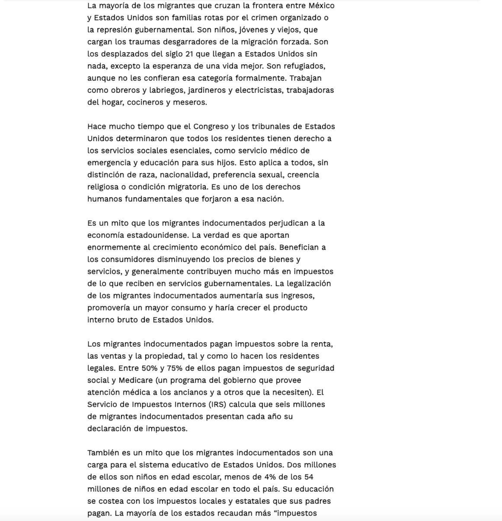La mayoría de los migrantes que cruzan la frontera entre México y Estados Unidos son familias rotas por el crimen organizado o la represión gubernamental. Son niños, jóvenes y viejos, que cargan los traumas desgarradores de la migración forzada. Son los desplazados del siglo 21 que llegan a Estados Unidos sin nada, excepto la esperanza de una vida mejor. Son refugiados, aunque no les confieran esa categoría formalmente. Trabajan como obreros y labriegos, jardineros y electricistas, trabajadoras del hogar, cocineros y meseros.

Hace mucho tiempo que el Congreso y los tribunales de Estados Unidos determinaron que todos los residentes tienen derecho a los servicios sociales esenciales, como servicio médico de emergencia y educación para sus hijos. Esto aplica a todos, sin distinción de raza, nacionalidad, preferencia sexual, creencia religiosa o condición migratoria. Es uno de los derechos humanos fundamentales que forjaron a esa nación.

Es un mito que los migrantes indocumentados perjudican a la economía estadounidense. La verdad es que aportan enormemente al crecimiento económico del país. Benefician a los consumidores disminuyendo los precios de bienes y servicios, y generalmente contribuyen mucho más en impuestos de lo que reciben en servicios gubernamentales. La legalización de los migrantes indocumentados aumentaría sus ingresos, promovería un mayor consumo y haría crecer el producto interno bruto de Estados Unidos.

Los migrantes indocumentados pagan impuestos sobre la renta, las ventas y la propiedad, tal y como lo hacen los residentes legales. Entre 50% y 75% de ellos pagan impuestos de seguridad social y Medicare (un programa del gobierno que provee atención médica a los ancianos y a otros que la necesiten). El Servicio de Impuestos Internos (IRS) calcula que seis millones de migrantes indocumentados presentan cada año su declaración de impuestos.

También es un mito que los migrantes indocumentados son una carga para el sistema educativo de Estados Unidos. Dos millones de ellos son niños en edad escolar, menos de 4% de los 54 millones de niños en edad escolar en todo el país. Su educación se costea con los impuestos locales y estatales que sus padres pagan. La mayoría de los estados recaudan más "impuestos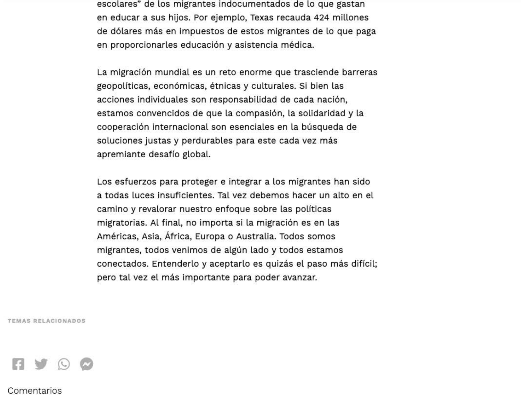escolares" de los migrantes indocumentados de lo que gastan en educar a sus hijos. Por ejemplo, Texas recauda 424 millones de dólares más en impuestos de estos migrantes de lo que paga en proporcionarles educación y asistencia médica.

La migración mundial es un reto enorme que trasciende barreras geopolíticas, económicas, étnicas y culturales. Si bien las acciones individuales son responsabilidad de cada nación, estamos convencidos de que la compasión, la solidaridad y la cooperación internacional son esenciales en la búsqueda de soluciones justas y perdurables para este cada vez más apremiante desafío global.

Los esfuerzos para proteger e integrar a los migrantes han sido a todas luces insuficientes. Tal yez debemos hacer un alto en el camino y revalorar nuestro enfoque sobre las políticas migratorias. Al final, no importa si la migración es en las Américas, Asia, África, Europa o Australia. Todos somos migrantes, todos venimos de algún lado y todos estamos conectados. Entenderlo y aceptarlo es quizás el paso más difícil; pero tal vez el más importante para poder avanzar.

TEMAS RELACIONADOS



Comentarios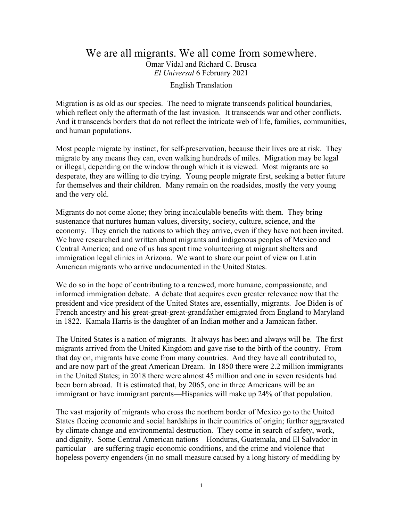#### We are all migrants. We all come from somewhere. Omar Vidal and Richard C. Brusca *El Universal* 6 February 2021

English Translation

Migration is as old as our species. The need to migrate transcends political boundaries, which reflect only the aftermath of the last invasion. It transcends war and other conflicts. And it transcends borders that do not reflect the intricate web of life, families, communities, and human populations.

Most people migrate by instinct, for self-preservation, because their lives are at risk. They migrate by any means they can, even walking hundreds of miles. Migration may be legal or illegal, depending on the window through which it is viewed. Most migrants are so desperate, they are willing to die trying. Young people migrate first, seeking a better future for themselves and their children. Many remain on the roadsides, mostly the very young and the very old.

Migrants do not come alone; they bring incalculable benefits with them. They bring sustenance that nurtures human values, diversity, society, culture, science, and the economy. They enrich the nations to which they arrive, even if they have not been invited. We have researched and written about migrants and indigenous peoples of Mexico and Central America; and one of us has spent time volunteering at migrant shelters and immigration legal clinics in Arizona. We want to share our point of view on Latin American migrants who arrive undocumented in the United States.

We do so in the hope of contributing to a renewed, more humane, compassionate, and informed immigration debate. A debate that acquires even greater relevance now that the president and vice president of the United States are, essentially, migrants. Joe Biden is of French ancestry and his great-great-great-grandfather emigrated from England to Maryland in 1822. Kamala Harris is the daughter of an Indian mother and a Jamaican father.

The United States is a nation of migrants. It always has been and always will be. The first migrants arrived from the United Kingdom and gave rise to the birth of the country. From that day on, migrants have come from many countries. And they have all contributed to, and are now part of the great American Dream. In 1850 there were 2.2 million immigrants in the United States; in 2018 there were almost 45 million and one in seven residents had been born abroad. It is estimated that, by 2065, one in three Americans will be an immigrant or have immigrant parents—Hispanics will make up 24% of that population.

The vast majority of migrants who cross the northern border of Mexico go to the United States fleeing economic and social hardships in their countries of origin; further aggravated by climate change and environmental destruction. They come in search of safety, work, and dignity. Some Central American nations—Honduras, Guatemala, and El Salvador in particular—are suffering tragic economic conditions, and the crime and violence that hopeless poverty engenders (in no small measure caused by a long history of meddling by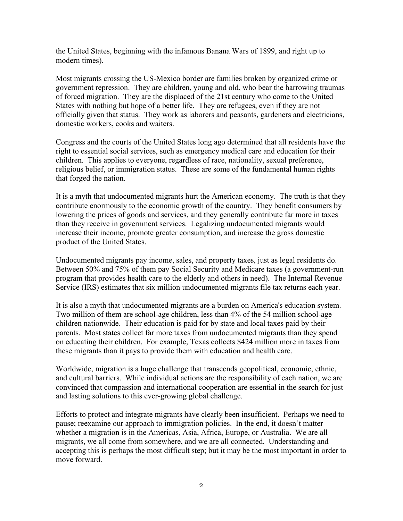the United States, beginning with the infamous Banana Wars of 1899, and right up to modern times).

Most migrants crossing the US-Mexico border are families broken by organized crime or government repression. They are children, young and old, who bear the harrowing traumas of forced migration. They are the displaced of the 21st century who come to the United States with nothing but hope of a better life. They are refugees, even if they are not officially given that status. They work as laborers and peasants, gardeners and electricians, domestic workers, cooks and waiters.

Congress and the courts of the United States long ago determined that all residents have the right to essential social services, such as emergency medical care and education for their children. This applies to everyone, regardless of race, nationality, sexual preference, religious belief, or immigration status. These are some of the fundamental human rights that forged the nation.

It is a myth that undocumented migrants hurt the American economy. The truth is that they contribute enormously to the economic growth of the country. They benefit consumers by lowering the prices of goods and services, and they generally contribute far more in taxes than they receive in government services. Legalizing undocumented migrants would increase their income, promote greater consumption, and increase the gross domestic product of the United States.

Undocumented migrants pay income, sales, and property taxes, just as legal residents do. Between 50% and 75% of them pay Social Security and Medicare taxes (a government-run program that provides health care to the elderly and others in need). The Internal Revenue Service (IRS) estimates that six million undocumented migrants file tax returns each year.

It is also a myth that undocumented migrants are a burden on America's education system. Two million of them are school-age children, less than 4% of the 54 million school-age children nationwide. Their education is paid for by state and local taxes paid by their parents. Most states collect far more taxes from undocumented migrants than they spend on educating their children. For example, Texas collects \$424 million more in taxes from these migrants than it pays to provide them with education and health care.

Worldwide, migration is a huge challenge that transcends geopolitical, economic, ethnic, and cultural barriers. While individual actions are the responsibility of each nation, we are convinced that compassion and international cooperation are essential in the search for just and lasting solutions to this ever-growing global challenge.

Efforts to protect and integrate migrants have clearly been insufficient. Perhaps we need to pause; reexamine our approach to immigration policies. In the end, it doesn't matter whether a migration is in the Americas, Asia, Africa, Europe, or Australia. We are all migrants, we all come from somewhere, and we are all connected. Understanding and accepting this is perhaps the most difficult step; but it may be the most important in order to move forward.